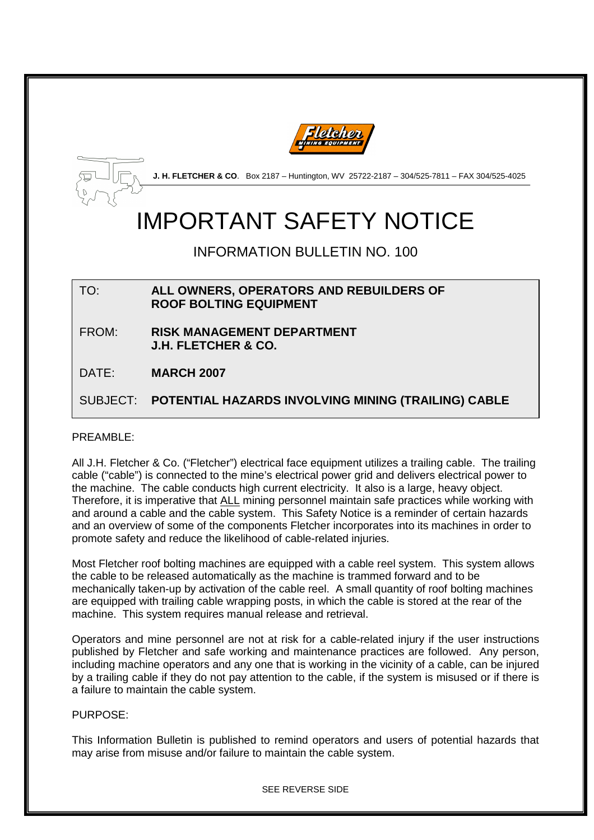



**J. H. FLETCHER & CO**. Box 2187 – Huntington, WV 25722-2187 – 304/525-7811 – FAX 304/525-4025

# IMPORTANT SAFETY NOTICE

INFORMATION BULLETIN NO. 100

TO: **ALL OWNERS, OPERATORS AND REBUILDERS OF ROOF BOLTING EQUIPMENT** 

- FROM: **RISK MANAGEMENT DEPARTMENT J.H. FLETCHER & CO.**
- DATE: **MARCH 2007**

SUBJECT: **POTENTIAL HAZARDS INVOLVING MINING (TRAILING) CABLE**

#### PRFAMBLF<sup>.</sup>

All J.H. Fletcher & Co. ("Fletcher") electrical face equipment utilizes a trailing cable. The trailing cable ("cable") is connected to the mine's electrical power grid and delivers electrical power to the machine. The cable conducts high current electricity. It also is a large, heavy object. Therefore, it is imperative that ALL mining personnel maintain safe practices while working with and around a cable and the cable system. This Safety Notice is a reminder of certain hazards and an overview of some of the components Fletcher incorporates into its machines in order to promote safety and reduce the likelihood of cable-related injuries.

Most Fletcher roof bolting machines are equipped with a cable reel system. This system allows the cable to be released automatically as the machine is trammed forward and to be mechanically taken-up by activation of the cable reel. A small quantity of roof bolting machines are equipped with trailing cable wrapping posts, in which the cable is stored at the rear of the machine. This system requires manual release and retrieval.

Operators and mine personnel are not at risk for a cable-related injury if the user instructions published by Fletcher and safe working and maintenance practices are followed. Any person, including machine operators and any one that is working in the vicinity of a cable, can be injured by a trailing cable if they do not pay attention to the cable, if the system is misused or if there is a failure to maintain the cable system.

#### PURPOSE:

This Information Bulletin is published to remind operators and users of potential hazards that may arise from misuse and/or failure to maintain the cable system.

SEE REVERSE SIDE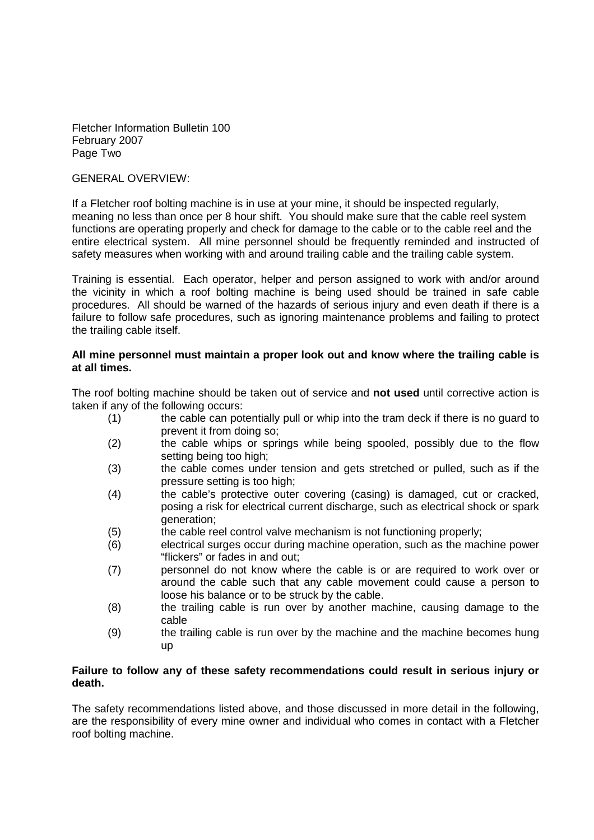Fletcher Information Bulletin 100 February 2007 Page Two

#### GENERAL OVERVIEW:

If a Fletcher roof bolting machine is in use at your mine, it should be inspected regularly, meaning no less than once per 8 hour shift. You should make sure that the cable reel system functions are operating properly and check for damage to the cable or to the cable reel and the entire electrical system. All mine personnel should be frequently reminded and instructed of safety measures when working with and around trailing cable and the trailing cable system.

Training is essential. Each operator, helper and person assigned to work with and/or around the vicinity in which a roof bolting machine is being used should be trained in safe cable procedures. All should be warned of the hazards of serious injury and even death if there is a failure to follow safe procedures, such as ignoring maintenance problems and failing to protect the trailing cable itself.

#### **All mine personnel must maintain a proper look out and know where the trailing cable is at all times.**

The roof bolting machine should be taken out of service and **not used** until corrective action is taken if any of the following occurs:

- (1) the cable can potentially pull or whip into the tram deck if there is no guard to prevent it from doing so;
- (2) the cable whips or springs while being spooled, possibly due to the flow setting being too high;
- (3) the cable comes under tension and gets stretched or pulled, such as if the pressure setting is too high;
- (4) the cable's protective outer covering (casing) is damaged, cut or cracked, posing a risk for electrical current discharge, such as electrical shock or spark generation;
- (5) the cable reel control valve mechanism is not functioning properly;
- (6) electrical surges occur during machine operation, such as the machine power "flickers" or fades in and out;
- (7) personnel do not know where the cable is or are required to work over or around the cable such that any cable movement could cause a person to loose his balance or to be struck by the cable.
- (8) the trailing cable is run over by another machine, causing damage to the cable
- (9) the trailing cable is run over by the machine and the machine becomes hung up

#### **Failure to follow any of these safety recommendations could result in serious injury or death.**

The safety recommendations listed above, and those discussed in more detail in the following, are the responsibility of every mine owner and individual who comes in contact with a Fletcher roof bolting machine.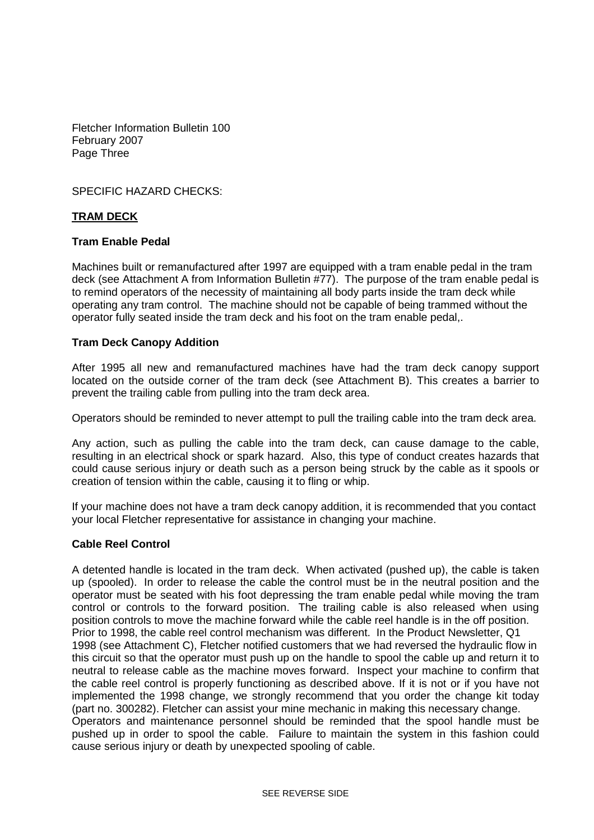Fletcher Information Bulletin 100 February 2007 Page Three

SPECIFIC HAZARD CHECKS:

#### **TRAM DECK**

#### **Tram Enable Pedal**

Machines built or remanufactured after 1997 are equipped with a tram enable pedal in the tram deck (see Attachment A from Information Bulletin #77). The purpose of the tram enable pedal is to remind operators of the necessity of maintaining all body parts inside the tram deck while operating any tram control. The machine should not be capable of being trammed without the operator fully seated inside the tram deck and his foot on the tram enable pedal,.

#### **Tram Deck Canopy Addition**

After 1995 all new and remanufactured machines have had the tram deck canopy support located on the outside corner of the tram deck (see Attachment B). This creates a barrier to prevent the trailing cable from pulling into the tram deck area.

Operators should be reminded to never attempt to pull the trailing cable into the tram deck area.

Any action, such as pulling the cable into the tram deck, can cause damage to the cable, resulting in an electrical shock or spark hazard. Also, this type of conduct creates hazards that could cause serious injury or death such as a person being struck by the cable as it spools or creation of tension within the cable, causing it to fling or whip.

If your machine does not have a tram deck canopy addition, it is recommended that you contact your local Fletcher representative for assistance in changing your machine.

#### **Cable Reel Control**

A detented handle is located in the tram deck. When activated (pushed up), the cable is taken up (spooled). In order to release the cable the control must be in the neutral position and the operator must be seated with his foot depressing the tram enable pedal while moving the tram control or controls to the forward position. The trailing cable is also released when using position controls to move the machine forward while the cable reel handle is in the off position. Prior to 1998, the cable reel control mechanism was different. In the Product Newsletter, Q1 1998 (see Attachment C), Fletcher notified customers that we had reversed the hydraulic flow in this circuit so that the operator must push up on the handle to spool the cable up and return it to neutral to release cable as the machine moves forward. Inspect your machine to confirm that the cable reel control is properly functioning as described above. If it is not or if you have not implemented the 1998 change, we strongly recommend that you order the change kit today (part no. 300282). Fletcher can assist your mine mechanic in making this necessary change. Operators and maintenance personnel should be reminded that the spool handle must be pushed up in order to spool the cable. Failure to maintain the system in this fashion could cause serious injury or death by unexpected spooling of cable.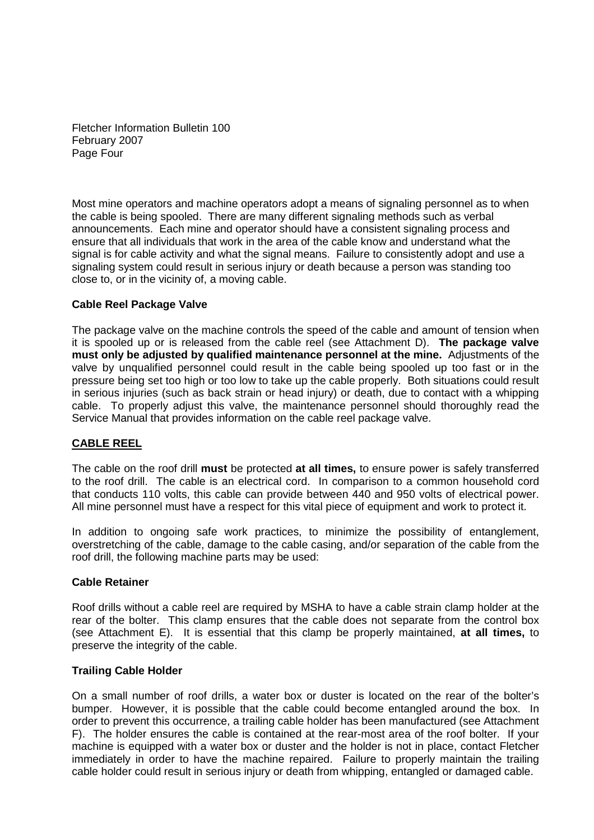Fletcher Information Bulletin 100 February 2007 Page Four

Most mine operators and machine operators adopt a means of signaling personnel as to when the cable is being spooled. There are many different signaling methods such as verbal announcements. Each mine and operator should have a consistent signaling process and ensure that all individuals that work in the area of the cable know and understand what the signal is for cable activity and what the signal means. Failure to consistently adopt and use a signaling system could result in serious injury or death because a person was standing too close to, or in the vicinity of, a moving cable.

#### **Cable Reel Package Valve**

The package valve on the machine controls the speed of the cable and amount of tension when it is spooled up or is released from the cable reel (see Attachment D). **The package valve must only be adjusted by qualified maintenance personnel at the mine.** Adjustments of the valve by unqualified personnel could result in the cable being spooled up too fast or in the pressure being set too high or too low to take up the cable properly. Both situations could result in serious injuries (such as back strain or head injury) or death, due to contact with a whipping cable. To properly adjust this valve, the maintenance personnel should thoroughly read the Service Manual that provides information on the cable reel package valve.

#### **CABLE REEL**

The cable on the roof drill **must** be protected **at all times,** to ensure power is safely transferred to the roof drill. The cable is an electrical cord. In comparison to a common household cord that conducts 110 volts, this cable can provide between 440 and 950 volts of electrical power. All mine personnel must have a respect for this vital piece of equipment and work to protect it.

In addition to ongoing safe work practices, to minimize the possibility of entanglement, overstretching of the cable, damage to the cable casing, and/or separation of the cable from the roof drill, the following machine parts may be used:

#### **Cable Retainer**

Roof drills without a cable reel are required by MSHA to have a cable strain clamp holder at the rear of the bolter. This clamp ensures that the cable does not separate from the control box (see Attachment E). It is essential that this clamp be properly maintained, **at all times,** to preserve the integrity of the cable.

#### **Trailing Cable Holder**

On a small number of roof drills, a water box or duster is located on the rear of the bolter's bumper. However, it is possible that the cable could become entangled around the box. In order to prevent this occurrence, a trailing cable holder has been manufactured (see Attachment F). The holder ensures the cable is contained at the rear-most area of the roof bolter. If your machine is equipped with a water box or duster and the holder is not in place, contact Fletcher immediately in order to have the machine repaired. Failure to properly maintain the trailing cable holder could result in serious injury or death from whipping, entangled or damaged cable.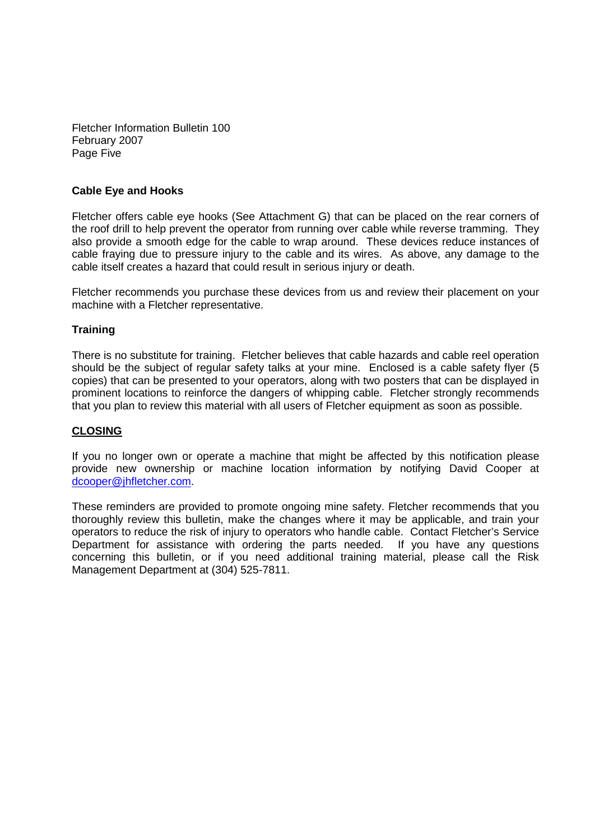Fletcher Information Bulletin 100 February 2007 Page Five

#### **Cable Eye and Hooks**

Fletcher offers cable eye hooks (See Attachment G) that can be placed on the rear corners of the roof drill to help prevent the operator from running over cable while reverse tramming. They also provide a smooth edge for the cable to wrap around. These devices reduce instances of cable fraying due to pressure injury to the cable and its wires. As above, any damage to the cable itself creates a hazard that could result in serious injury or death.

Fletcher recommends you purchase these devices from us and review their placement on your machine with a Fletcher representative.

#### **Training**

There is no substitute for training. Fletcher believes that cable hazards and cable reel operation should be the subject of regular safety talks at your mine. Enclosed is a cable safety flyer (5 copies) that can be presented to your operators, along with two posters that can be displayed in prominent locations to reinforce the dangers of whipping cable. Fletcher strongly recommends that you plan to review this material with all users of Fletcher equipment as soon as possible.

#### **CLOSING**

If you no longer own or operate a machine that might be affected by this notification please provide new ownership or machine location information by notifying David Cooper at dcooper@jhfletcher.com.

These reminders are provided to promote ongoing mine safety. Fletcher recommends that you thoroughly review this bulletin, make the changes where it may be applicable, and train your operators to reduce the risk of injury to operators who handle cable. Contact Fletcher's Service Department for assistance with ordering the parts needed. If you have any questions concerning this bulletin, or if you need additional training material, please call the Risk Management Department at (304) 525-7811.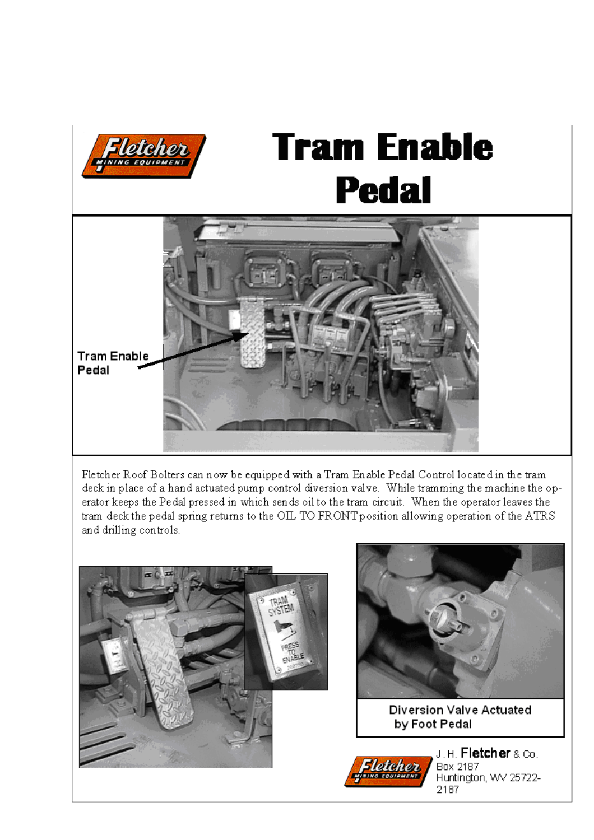

# **Tram Enable Pedal**



Fletcher Roof Bolters can now be equipped with a Tram Enable Pedal Control located in the tram deck in place of a hand actuated pump control diversion valve. While tramming the machine the operator keeps the Pedal pressed in which sends oil to the tram circuit. When the operator leaves the tram deck the pedal spring returns to the OIL TO FRONT position allowing operation of the ATRS and drilling controls.

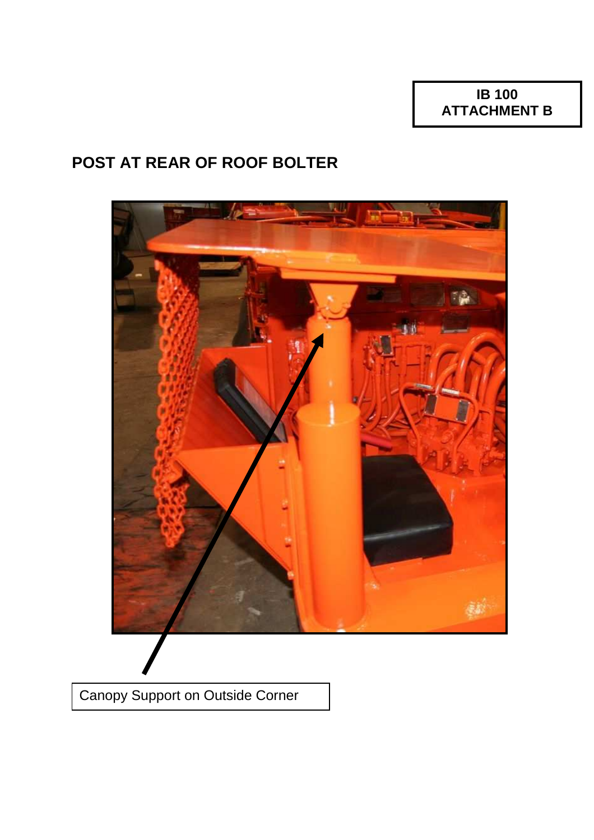# **POST AT REAR OF ROOF BOLTER**



Canopy Support on Outside Corner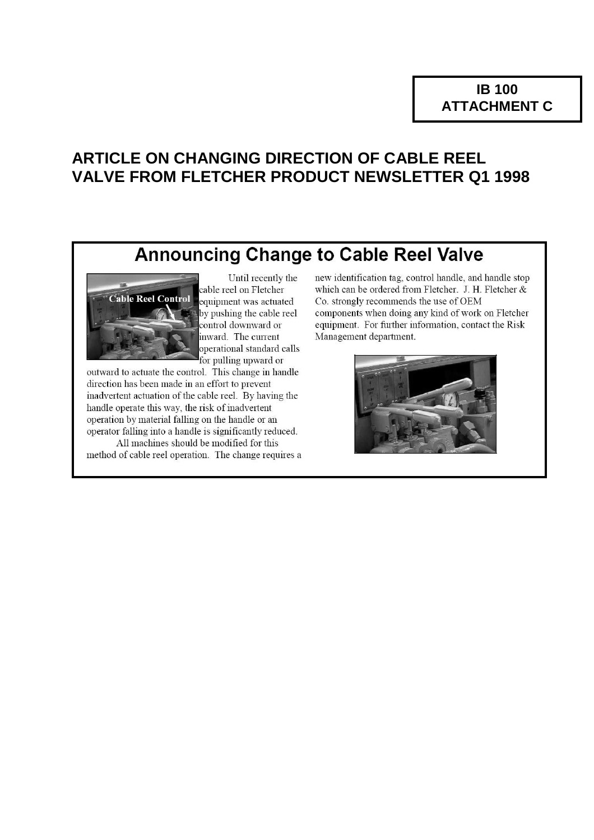## **ARTICLE ON CHANGING DIRECTION OF CABLE REEL VALVE FROM FLETCHER PRODUCT NEWSLETTER Q1 1998**

# **Announcing Change to Cable Reel Valve**



Until recently the cable reel on Fletcher equipment was actuated by pushing the cable reel control downward or inward. The current operational standard calls for pulling upward or

outward to actuate the control. This change in handle direction has been made in an effort to prevent inadvertent actuation of the cable reel. By having the handle operate this way, the risk of inadvertent operation by material falling on the handle or an operator falling into a handle is significantly reduced.

All machines should be modified for this method of cable reel operation. The change requires a new identification tag, control handle, and handle stop which can be ordered from Fletcher. J. H. Fletcher & Co. strongly recommends the use of OEM components when doing any kind of work on Fletcher equipment. For further information, contact the Risk Management department.

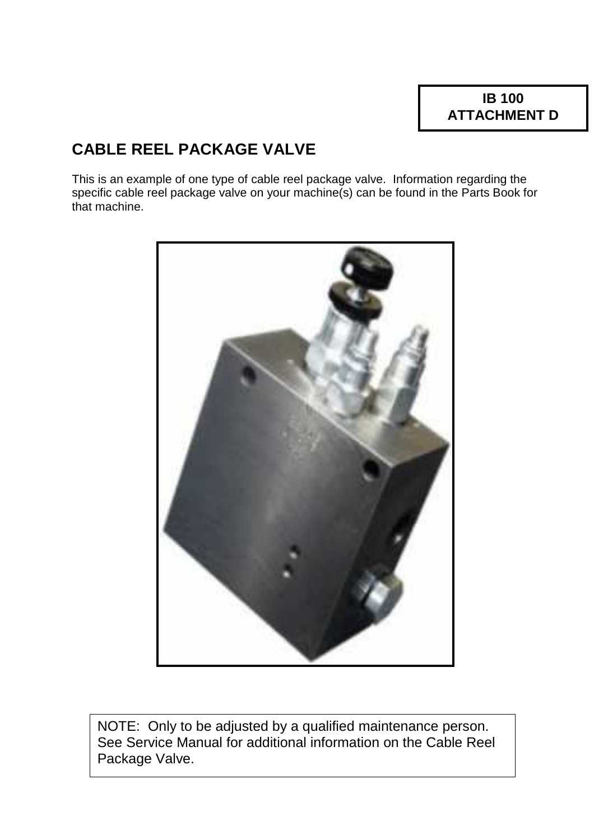# **CABLE REEL PACKAGE VALVE**

This is an example of one type of cable reel package valve. Information regarding the specific cable reel package valve on your machine(s) can be found in the Parts Book for that machine.



NOTE: Only to be adjusted by a qualified maintenance person. See Service Manual for additional information on the Cable Reel Package Valve.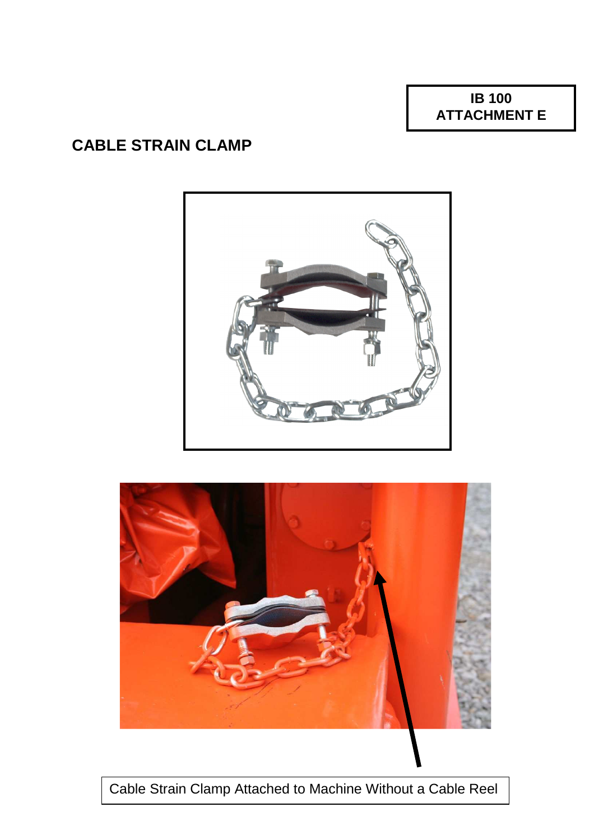**IB 100 ATTACHMENT E** 

# **CABLE STRAIN CLAMP**





Cable Strain Clamp Attached to Machine Without a Cable Reel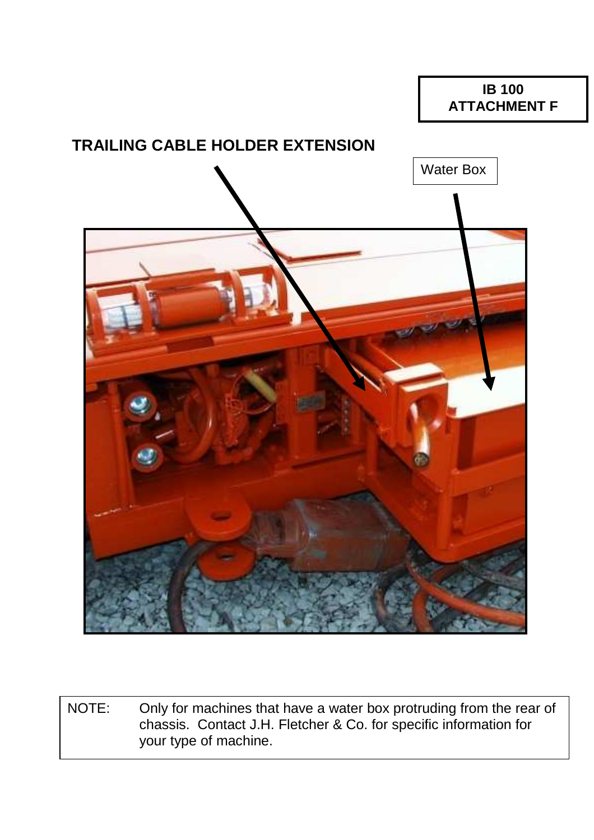### **IB 100 ATTACHMENT F**

## **TRAILING CABLE HOLDER EXTENSION**



NOTE: Only for machines that have a water box protruding from the rear of chassis. Contact J.H. Fletcher & Co. for specific information for your type of machine.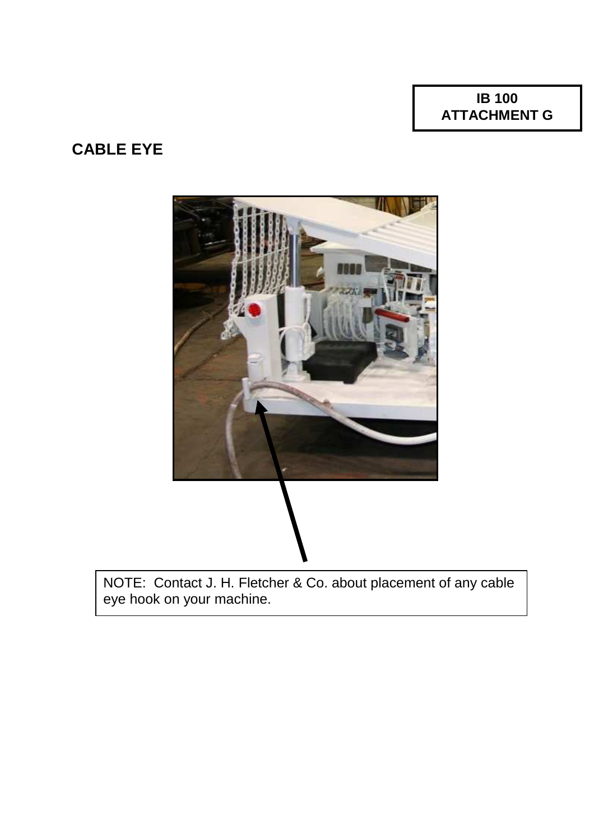**IB 100 ATTACHMENT G** 

## **CABLE EYE**



NOTE: Contact J. H. Fletcher & Co. about placement of any cable eye hook on your machine.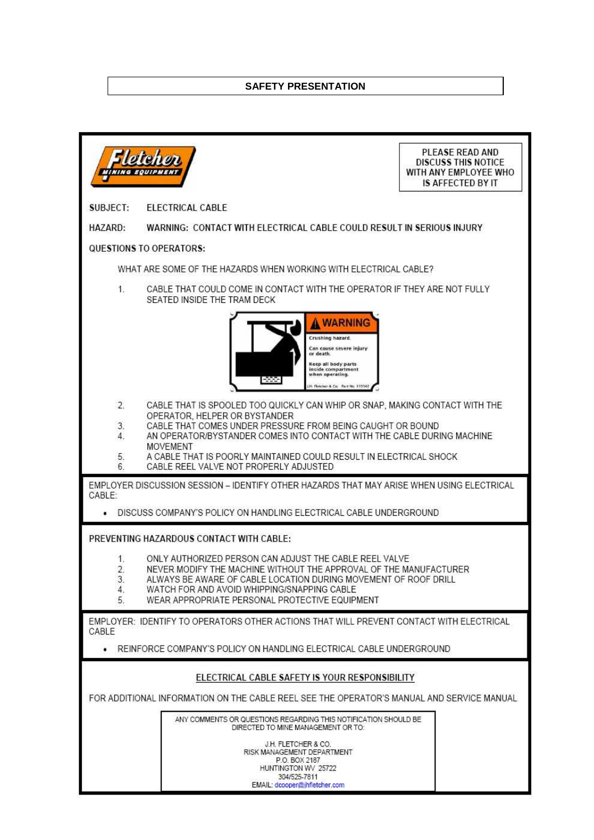#### **SAFETY PRESENTATION**

| MININ G                                                                                                                                                                                                                                                                                                                                                                   |                                                                                                                                                                                                                                                                                                                                                                                   | PLEASE READ AND<br><b>DISCUSS THIS NOTICE</b><br>WITH ANY EMPLOYEE WHO<br><b>IS AFFECTED BY IT</b> |
|---------------------------------------------------------------------------------------------------------------------------------------------------------------------------------------------------------------------------------------------------------------------------------------------------------------------------------------------------------------------------|-----------------------------------------------------------------------------------------------------------------------------------------------------------------------------------------------------------------------------------------------------------------------------------------------------------------------------------------------------------------------------------|----------------------------------------------------------------------------------------------------|
| SUBJECT:                                                                                                                                                                                                                                                                                                                                                                  | <b>ELECTRICAL CABLE</b>                                                                                                                                                                                                                                                                                                                                                           |                                                                                                    |
| HAZARD:                                                                                                                                                                                                                                                                                                                                                                   | WARNING: CONTACT WITH ELECTRICAL CABLE COULD RESULT IN SERIOUS INJURY                                                                                                                                                                                                                                                                                                             |                                                                                                    |
| QUESTIONS TO OPERATORS:                                                                                                                                                                                                                                                                                                                                                   |                                                                                                                                                                                                                                                                                                                                                                                   |                                                                                                    |
| WHAT ARE SOME OF THE HAZARDS WHEN WORKING WITH ELECTRICAL CABLE?                                                                                                                                                                                                                                                                                                          |                                                                                                                                                                                                                                                                                                                                                                                   |                                                                                                    |
| 1.                                                                                                                                                                                                                                                                                                                                                                        | CABLE THAT COULD COME IN CONTACT WITH THE OPERATOR IF THEY ARE NOT FULLY<br>SEATED INSIDE THE TRAM DECK                                                                                                                                                                                                                                                                           |                                                                                                    |
|                                                                                                                                                                                                                                                                                                                                                                           | <b>WARNING</b><br>Crushing hazard.<br>Can cause severe injury<br>or death.<br>Keep all body parts<br>inside compartment<br>when operating.<br>1 Fletcher & Co. Fart No. 119942                                                                                                                                                                                                    |                                                                                                    |
| 2.<br>3.<br>4.<br>5.<br>6.                                                                                                                                                                                                                                                                                                                                                | CABLE THAT IS SPOOLED TOO QUICKLY CAN WHIP OR SNAP, MAKING CONTACT WITH THE<br>OPERATOR, HELPER OR BYSTANDER<br>CABLE THAT COMES UNDER PRESSURE FROM BEING CAUGHT OR BOUND<br>AN OPERATOR/BYSTANDER COMES INTO CONTACT WITH THE CABLE DURING MACHINE<br>MOVEMENT<br>A CABLE THAT IS POORLY MAINTAINED COULD RESULT IN ELECTRICAL SHOCK.<br>CABLE REEL VALVE NOT PROPERLY ADJUSTED |                                                                                                    |
| EMPLOYER DISCUSSION SESSION - IDENTIFY OTHER HAZARDS THAT MAY ARISE WHEN USING ELECTRICAL<br>CABLE:<br>DISCUSS COMPANY'S POLICY ON HANDLING ELECTRICAL CABLE UNDERGROUND                                                                                                                                                                                                  |                                                                                                                                                                                                                                                                                                                                                                                   |                                                                                                    |
| PREVENTING HAZARDOUS CONTACT WITH CABLE:<br>1.<br>ONLY AUTHORIZED PERSON CAN ADJUST THE CABLE REEL VALVE<br>2.<br>NEVER MODIFY THE MACHINE WITHOUT THE APPROVAL OF THE MANUFACTURER<br>3.<br>ALWAYS BE AWARE OF CABLE LOCATION DURING MOVEMENT OF ROOF DRILL<br>WATCH FOR AND AVOID WHIPPING/SNAPPING CABLE<br>4.<br>5.<br>WEAR APPROPRIATE PERSONAL PROTECTIVE EQUIPMENT |                                                                                                                                                                                                                                                                                                                                                                                   |                                                                                                    |
| EMPLOYER: IDENTIFY TO OPERATORS OTHER ACTIONS THAT WILL PREVENT CONTACT WITH ELECTRICAL<br>CABLE                                                                                                                                                                                                                                                                          |                                                                                                                                                                                                                                                                                                                                                                                   |                                                                                                    |
| REINFORCE COMPANY'S POLICY ON HANDLING ELECTRICAL CABLE UNDERGROUND                                                                                                                                                                                                                                                                                                       |                                                                                                                                                                                                                                                                                                                                                                                   |                                                                                                    |
| ELECTRICAL CABLE SAFETY IS YOUR RESPONSIBILITY                                                                                                                                                                                                                                                                                                                            |                                                                                                                                                                                                                                                                                                                                                                                   |                                                                                                    |
| FOR ADDITIONAL INFORMATION ON THE CABLE REEL SEE THE OPERATOR'S MANUAL AND SERVICE MANUAL                                                                                                                                                                                                                                                                                 |                                                                                                                                                                                                                                                                                                                                                                                   |                                                                                                    |
|                                                                                                                                                                                                                                                                                                                                                                           | ANY COMMENTS OR QUESTIONS REGARDING THIS NOTIFICATION SHOULD BE<br>DIRECTED TO MINE MANAGEMENT OR TO:                                                                                                                                                                                                                                                                             |                                                                                                    |
|                                                                                                                                                                                                                                                                                                                                                                           | J.H. FLETCHER & CO.<br>RISK MANAGEMENT DEPARTMENT<br>P.O. BOX 2187<br>HUNTINGTON WV 25722<br>304/525-7811<br>EMAIL: dcooper@jhfletcher.com                                                                                                                                                                                                                                        |                                                                                                    |